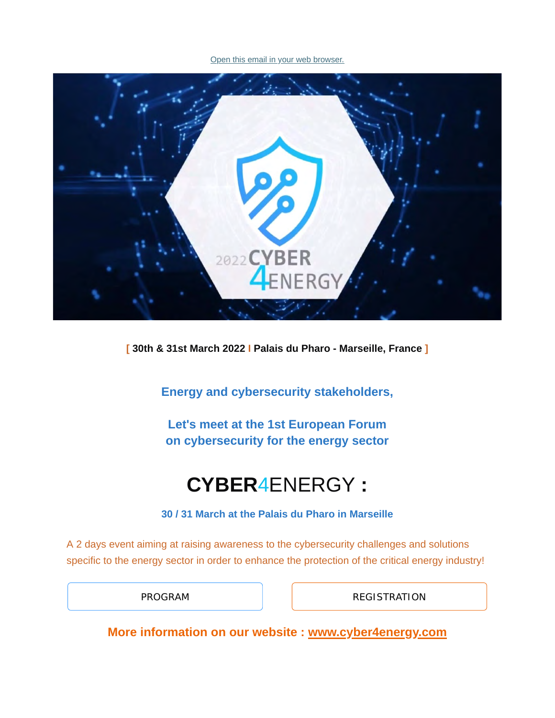[Open this email in your web browser.](https://www.capenergies.fr/?mailpoet_router&endpoint=view_in_browser&action=view&data=WzM2MSwiZTEzMmJhMGU5OTc0IiwwLDAsMCwxXQ)



**[ 30th & 31st March 2022 I Palais du Pharo - Marseille, France ]**

**Energy and cybersecurity stakeholders,**

**Let's meet at the 1st European Forum on cybersecurity for the energy sector**

# **CYBER**4ENERGY **:**

**30 / 31 March at the Palais du Pharo in Marseille**

A 2 days event aiming at raising awareness to the cybersecurity challenges and solutions specific to the energy sector in order to enhance the protection of the critical energy industry!

[PROGRAM](https://www.cyber4energy.com/program/) **[REGISTRATION](https://server.matchmaking-studio.com/en/Cyber4Energy/#mms#mms)** 

**More information on our website : [www.cyber4energy.com](http://www.cyber4energy.com/)**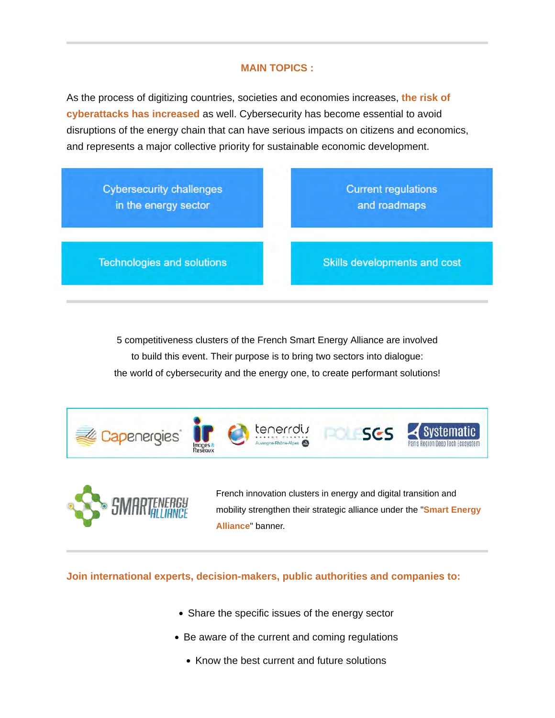### **MAIN TOPICS :**

As the process of digitizing countries, societies and economies increases, **the risk of cyberattacks has increased** as well. Cybersecurity has become essential to avoid disruptions of the energy chain that can have serious impacts on citizens and economics, and represents a major collective priority for sustainable economic development.



5 competitiveness clusters of the French Smart Energy Alliance are involved to build this event. Their purpose is to bring two sectors into dialogue: the world of cybersecurity and the energy one, to create performant solutions!





French innovation clusters in energy and digital transition and mobility strengthen their strategic alliance under the "**Smart Energy Alliance**" banner.

**Join international experts, decision-makers, public authorities and companies to:**

- Share the specific issues of the energy sector
- Be aware of the current and coming regulations
	- Know the best current and future solutions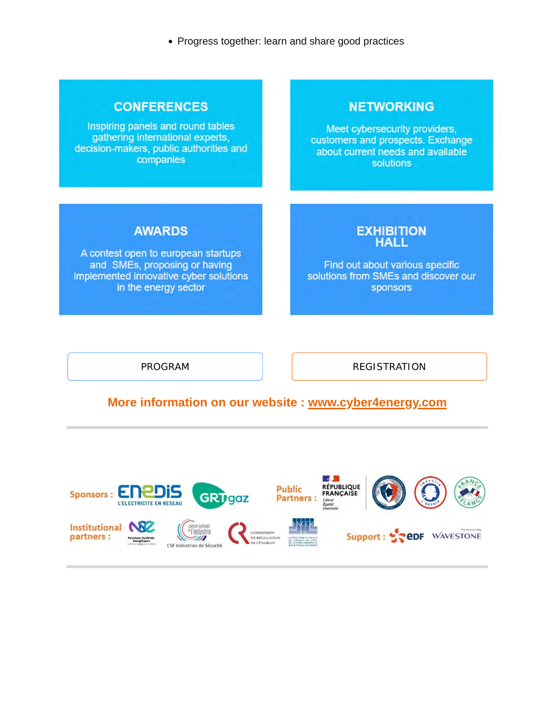• Progress together: learn and share good practices

## **CONFERENCES**

Inspiring panels and round tables gathering international experts, decision-makers, public authorities and companies

# **NETWORKING**

Meet cybersecurity providers, customers and prospects. Exchange about current needs and available **solutions** 

# **AWARDS**

A contest open to european startups and SMEs, proposing or having implemented innovative cyber solutions in the energy sector

#### **EXHIBITION HALL**

Find out about various specific solutions from SMEs and discover our sponsors

[PROGRAM](https://www.cyber4energy.com/program/) **[REGISTRATION](https://server.matchmaking-studio.com/en/Cyber4Energy/#mms#mms)** 

# **More information on our website : [www.cyber4energy.com](http://www.cyber4energy.com/)**